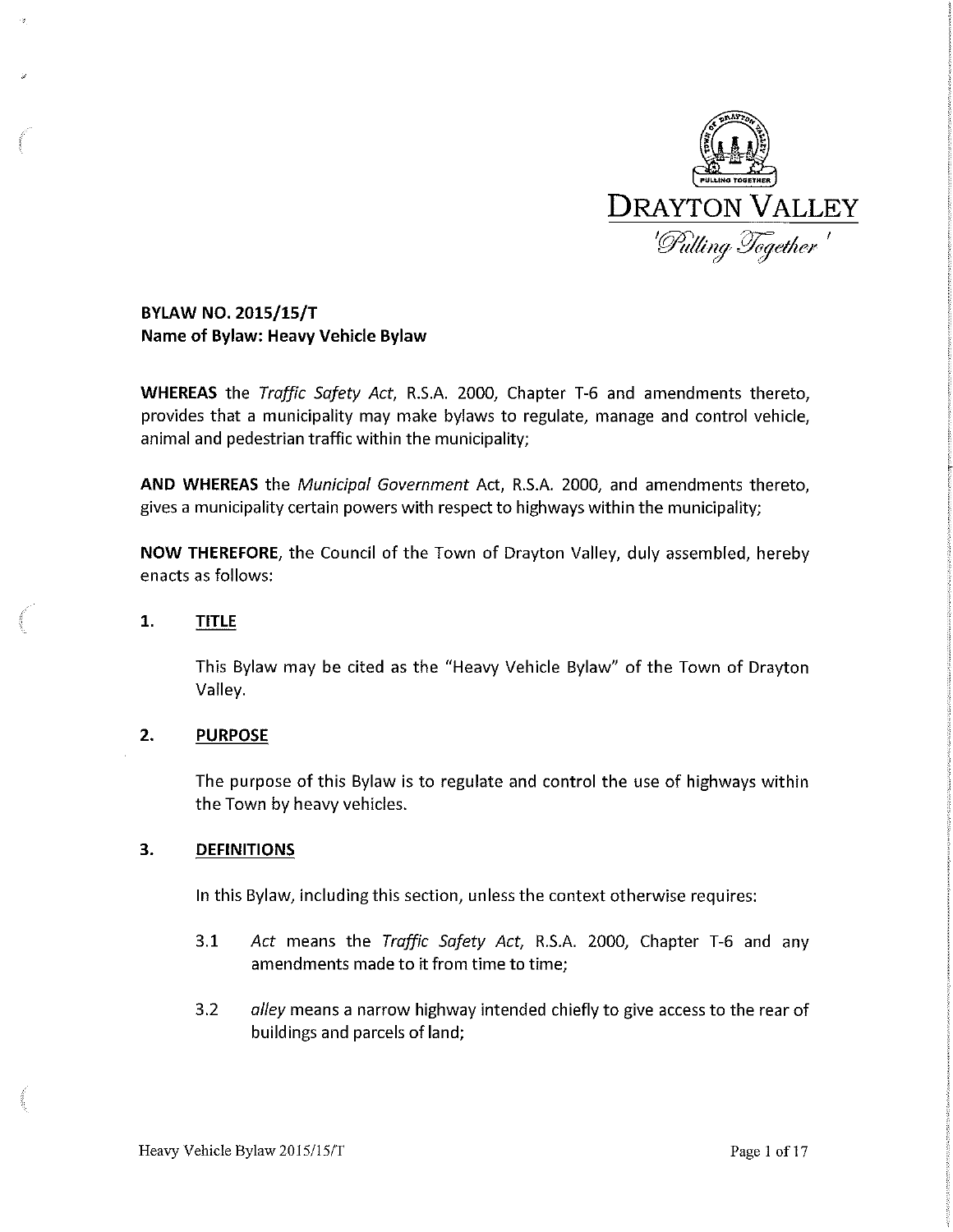

**BYLAW NO. 2015/15/T Name of Bylaw: Heavy Vehicle Bylaw** 

**WHEREAS** the *Traffic Safety Act,* R.S.A. 2000, Chapter T-6 and amendments thereto, provides that a municipality may make bylaws to regulate, manage and control vehicle, animal and pedestrian traffic within the municipality;

**AND WHEREAS** the *Municipal Government* Act, R.S.A. 2000, and amendments thereto, gives a municipality certain powers with respect to highways within the municipality;

**NOW THEREFORE,** the Council of the Town of Drayton Valley, duly assembled, hereby enacts as follows:

#### $\mathbf{1}$ **TITLE**

This Bylaw may be cited as the "Heavy Vehicle Bylaw" of the Town of Drayton Valley.

#### **2. PURPOSE**

The purpose of this Bylaw is to regulate and control the use of highways within the Town by heavy vehicles.

#### **3. DEFINITIONS**

In this Bylaw, including this section, unless the context otherwise requires:

- 3.1 *Act* means the *Traffic Safety Act,* R.S.A. 2000, Chapter T-6 and any amendments made to it from time to time;
- 3.2 *alley* means a narrow highway intended chiefly to give access to the rear of buildings and parcels of land;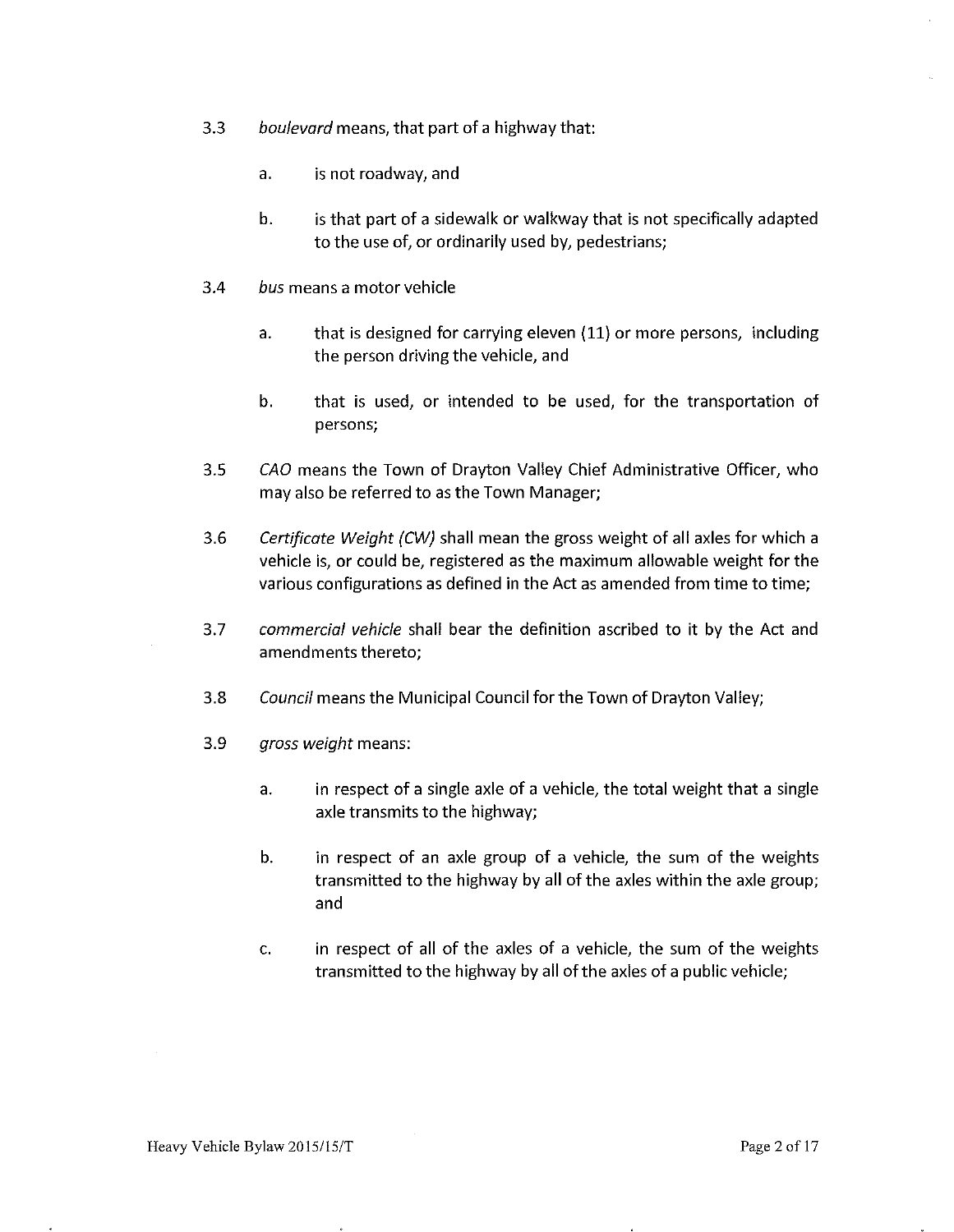- 3.3 *boulevard* means, that part of a highway that:
	- a. is not roadway, and
	- b. is that part of a sidewalk or walkway that is not specifically adapted to the use of, or ordinarily used by, pedestrians;
- 3.4 *bus* means a motor vehicle
	- a. that is designed for carrying eleven {11) or more persons, including the person driving the vehicle, and
	- b. that is used, or intended to be used, for the transportation of persons;
- 3.5 CAD means the Town of Drayton Valley Chief Administrative Officer, who may also be referred to as the Town Manager;
- 3.6 *Certificate Weight {CW)* shall mean the gross weight of all axles for which a vehicle is, or could be, registered as the maximum allowable weight for the various configurations as defined in the Act as amended from time to time;
- 3.7 *commercial vehicle* shall bear the definition ascribed to it by the Act and amendments thereto;
- 3.8 *Council* means the Municipal Council for the Town of Drayton Valley;
- 3.9 *gross weight* means:
	- a. in respect of a single axle of a vehicle, the total weight that a single axle transmits to the highway;
	- b. in respect of an axle group of a vehicle, the sum of the weights transmitted to the highway by all of the axles within the axle group; and
	- c. in respect of all of the axles of a vehicle, the sum of the weights transmitted to the highway by all of the axles of a public vehicle;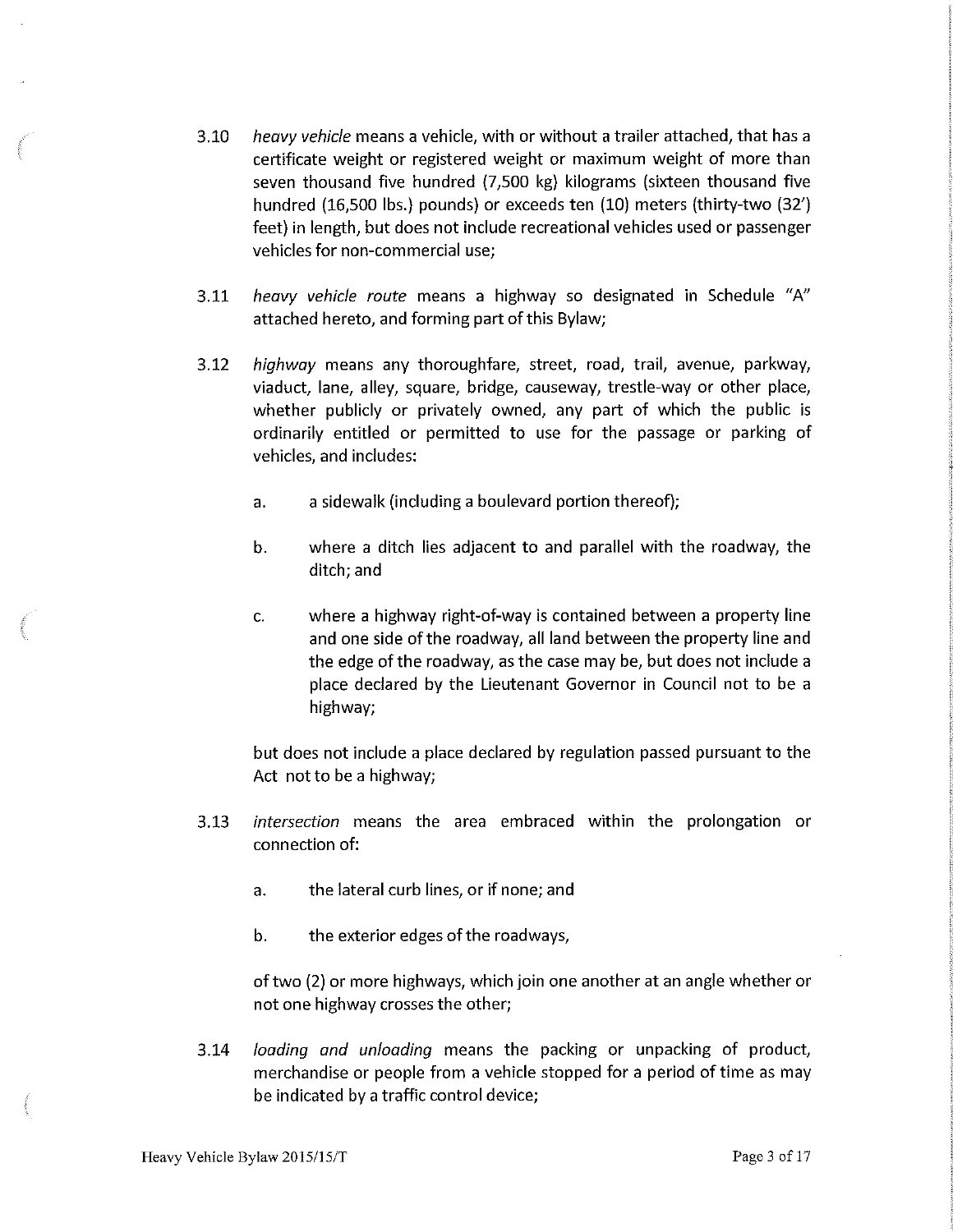- 3.10 *heavy vehicle* means a vehicle, with or without a trailer attached, that has a certificate weight or registered weight or maximum weight of more than seven thousand five hundred (7,500 kg) kilograms (sixteen thousand five hundred (16,500 lbs.) pounds) or exceeds ten (10) meters (thirty-two (32') feet) in length, but does not include recreational vehicles used or passenger vehicles for non-commercial use;
- 3.11 *heavy vehicle route* means a highway so designated in Schedule "A" attached hereto, and forming part of this Bylaw;
- 3.12 *highway* means any thoroughfare, street, road, trail, avenue, parkway, viaduct, lane, alley, square, bridge, causeway, trestle-way or other place, whether publicly or privately owned, any part of which the public is ordinarily entitled or permitted to use for the passage or parking of vehicles, and includes:
	- a. a sidewalk (including a boulevard portion thereof);
	- b. where a ditch lies adjacent to and parallel with the roadway, the ditch; and
	- c. where a highway right-of-way is contained between a property line and one side of the roadway, all land between the property line and the edge of the roadway, as the case may be, but does not include a place declared by the Lieutenant Governor in Council not to be a highway;

but does not include a place declared by regulation passed pursuant to the Act not to be a highway;

- 3.13 *intersection* means the area embraced within the prolongation or connection of:
	- a. the lateral curb lines, or if none; and
	- b. the exterior edges of the roadways,

of two (2) or more highways, which join one another at an angle whether or not one highway crosses the other;

3.14 *loading and unloading* means the packing or unpacking of product, merchandise or people from a vehicle stopped for a period of time as may be indicated by a traffic control device;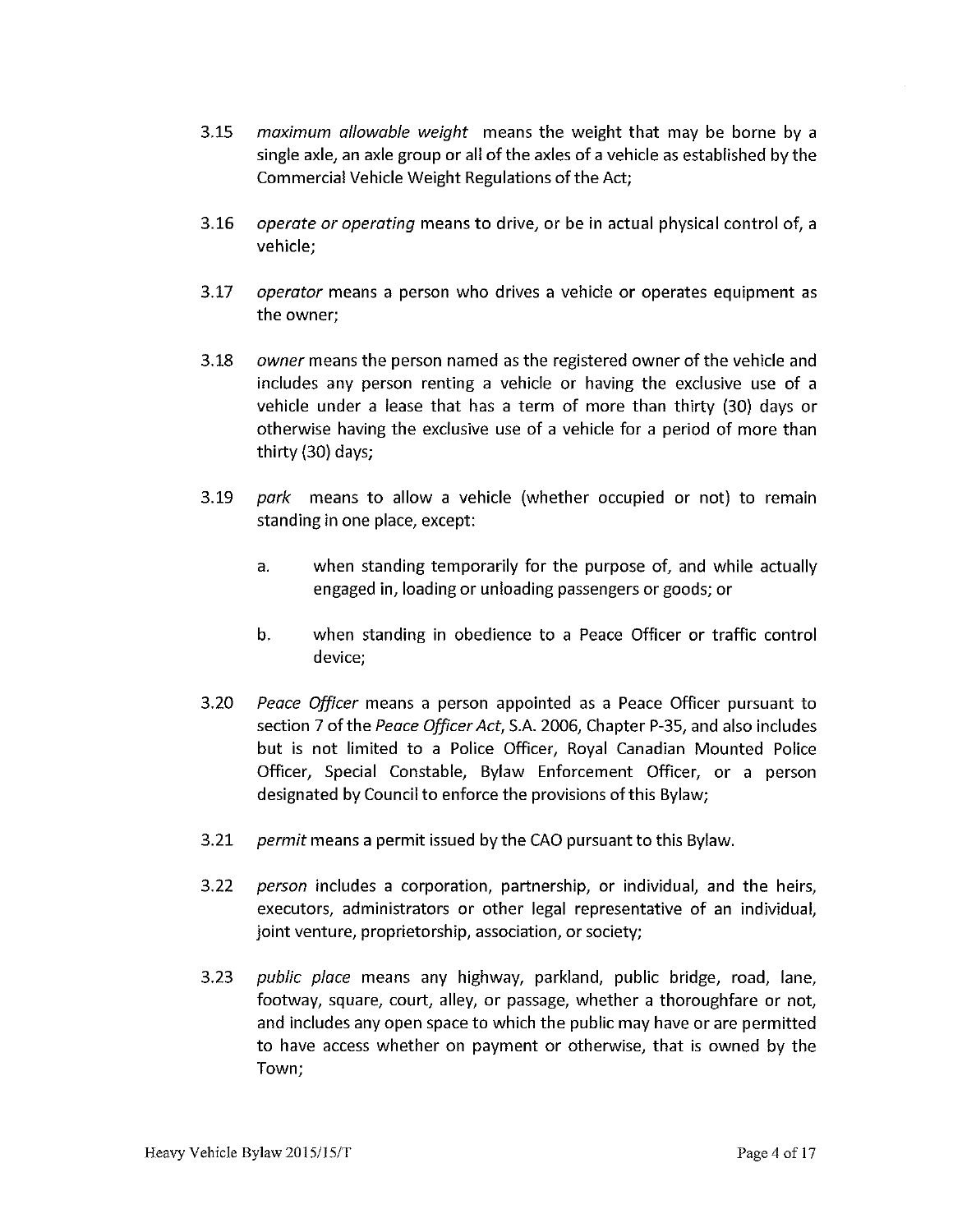- 3.15 *maximum allowable weight* means the weight that may be borne by a single axle, an axle group or all of the axles of a vehicle as established by the Commercial Vehicle Weight Regulations of the Act;
- 3.16 *operate ar ape rating* means to drive, or be in actual physical control of, a vehicle;
- 3.17 *aperatar* means a person who drives a vehicle or operates equipment as the owner;
- 3.18 *owner* means the person named as the registered owner of the vehicle and includes any person renting a vehicle or having the exclusive use of a vehicle under a lease that has a term of more than thirty (30) days or otherwise having the exclusive use of a vehicle for a period of more than thirty (30) days;
- 3.19 *park* means to allow a vehicle (whether occupied or not) to remain standing in one place, except:
	- a. when standing temporarily for the purpose of, and while actually engaged in, loading or unloading passengers or goods; or
	- b. when standing in obedience to a Peace Officer or traffic control device;
- 3.20 *Peace Officer* means a person appointed as a Peace Officer pursuant to section 7 of the *Peace Officer Act*, S.A. 2006, Chapter P-35, and also includes but is not limited to a Police Officer, Royal Canadian Mounted Police Officer, Special Constable, Bylaw Enforcement Officer, or a person designated by Council to enforce the provisions of this Bylaw;
- 3.21 *permit* means a permit issued by the CAO pursuant to this Bylaw.
- 3.22 *person* includes a corporation, partnership, or individual, and the heirs, executors, administrators or other legal representative of an individual, joint venture, proprietorship, association, or society;
- 3.23 *public place* means any highway, parkland, public bridge, road, lane, footway, square, court, alley, or passage, whether a thoroughfare or not, and includes any open space to which the public may have or are permitted to have access whether on payment or otherwise, that is owned by the Town;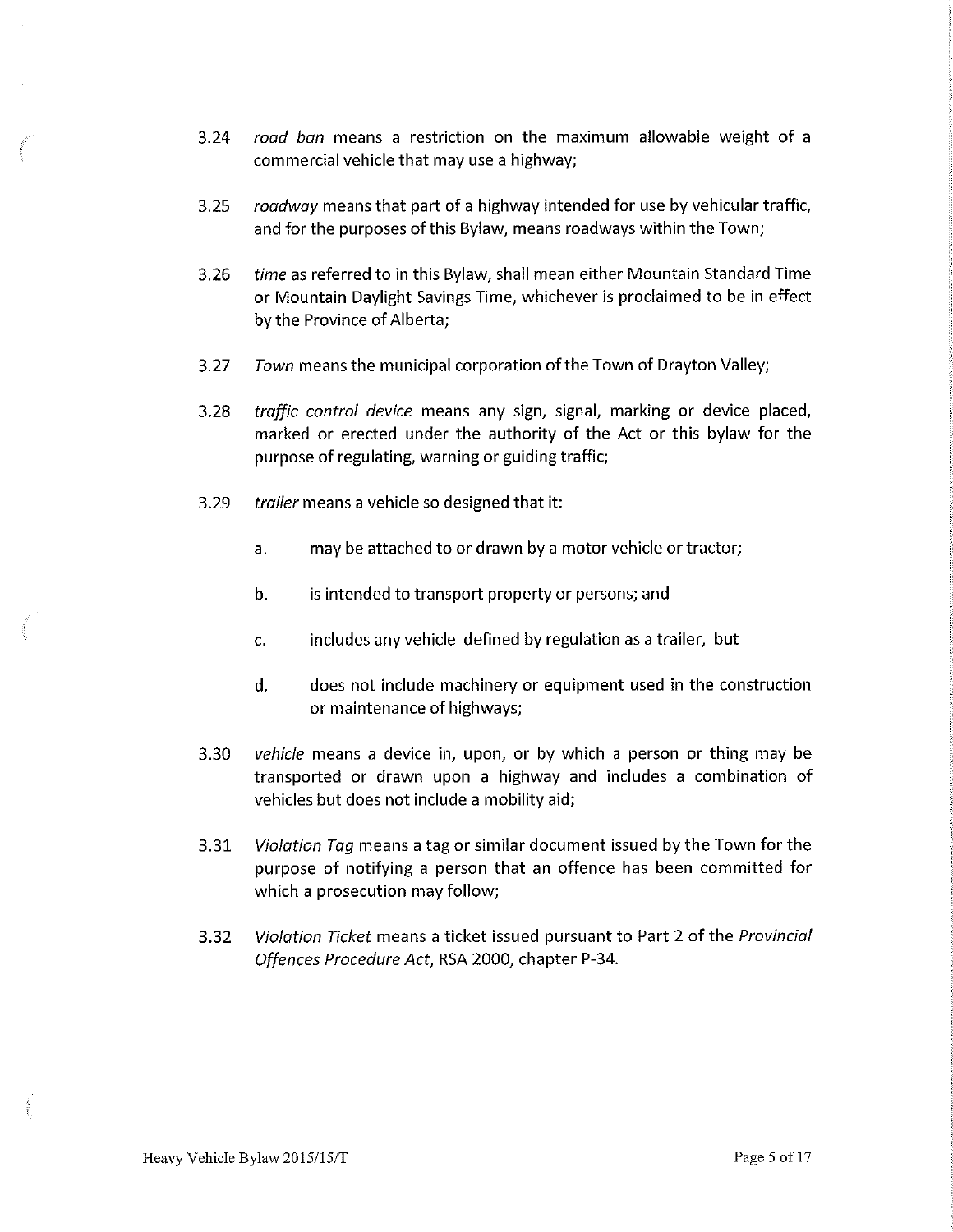- 3.24 *road ban* means a restriction on the maximum allowable weight of a commercial vehicle that may use a highway;
- 3.25 *roadway* means that part of a highway intended for use by vehicular traffic, and for the purposes of this Bylaw, means roadways within the Town;
- 3.26 *time* as referred to in this Bylaw, shall mean either Mountain Standard Time or Mountain Daylight Savings Time, whichever is proclaimed to be in effect by the Province of Alberta;
- 3.27 *Town* means the municipal corporation of the Town of Drayton Valley;
- 3.28 *traffic control device* means any sign, signal, marking or device placed, marked or erected under the authority of the Act or this bylaw for the purpose of regulating, warning or guiding traffic;
- 3.29 *trailer* means a vehicle so designed that it:
	- a. may be attached to or drawn by a motor vehicle or tractor;
	- b. is intended to transport property or persons; and
	- c. includes any vehicle defined by regulation as a trailer, but
	- d. does not include machinery or equipment used in the construction or maintenance of highways;
- 3.30 *vehicle* means a device in, upon, or by which a person or thing may be transported or drawn upon a highway and includes a combination of vehicles but does not include a mobility aid;
- 3.31 *Violation Tag* means a tag or similar document issued by the Town for the purpose of notifying a person that an offence has been committed for which a prosecution may follow;
- 3.32 *Violation Ticket* means a ticket issued pursuant to Part 2 of the *Provincial Offences Procedure Act,* RSA 2000, chapter P-34.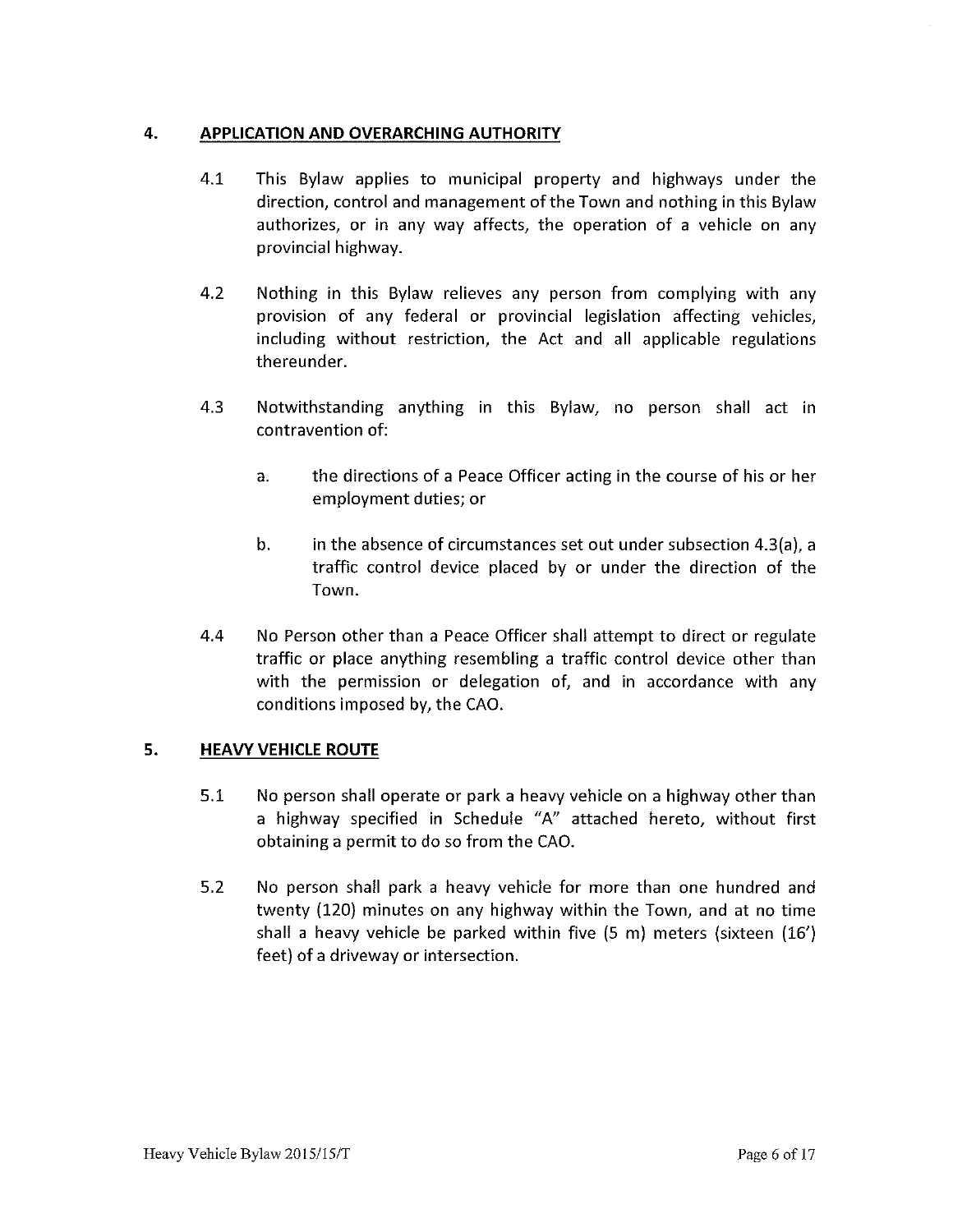## **4. APPLICATION AND OVERARCHING AUTHORITY**

- 4.1 This Bylaw applies to municipal property and highways under the direction, control and management of the Town and nothing in this Bylaw authorizes, or in any way affects, the operation of a vehicle on any provincial highway.
- 4.2 Nothing in this Bylaw relieves any person from complying with any provision of any federal or provincial legislation affecting vehicles, including without restriction, the Act and all applicable regulations thereunder.
- 4.3 Notwithstanding anything in this Bylaw, no person shall act in contravention of:
	- a. the directions of a Peace Officer acting in the course of his or her employment duties; or
	- b. in the absence of circumstances set out under subsection 4.3(a), a traffic control device placed by or under the direction of the Town.
- 4.4 No Person other than a Peace Officer shall attempt to direct or regulate traffic or place anything resembling a traffic control device other than with the permission or delegation of, and in accordance with any conditions imposed by, the CAO.

## **5. HEAVY VEHICLE ROUTE**

- 5.1 No person shall operate or park a heavy vehicle on a highway other than a highway specified in Schedule "A" attached hereto, without first obtaining a permit to do so from the CAO.
- 5.2 No person shall park a heavy vehicle for more than one hundred and twenty (120) minutes on any highway within the Town, and at no time shall a heavy vehicle be parked within five (5 m) meters (sixteen (16') feet) of a driveway or intersection.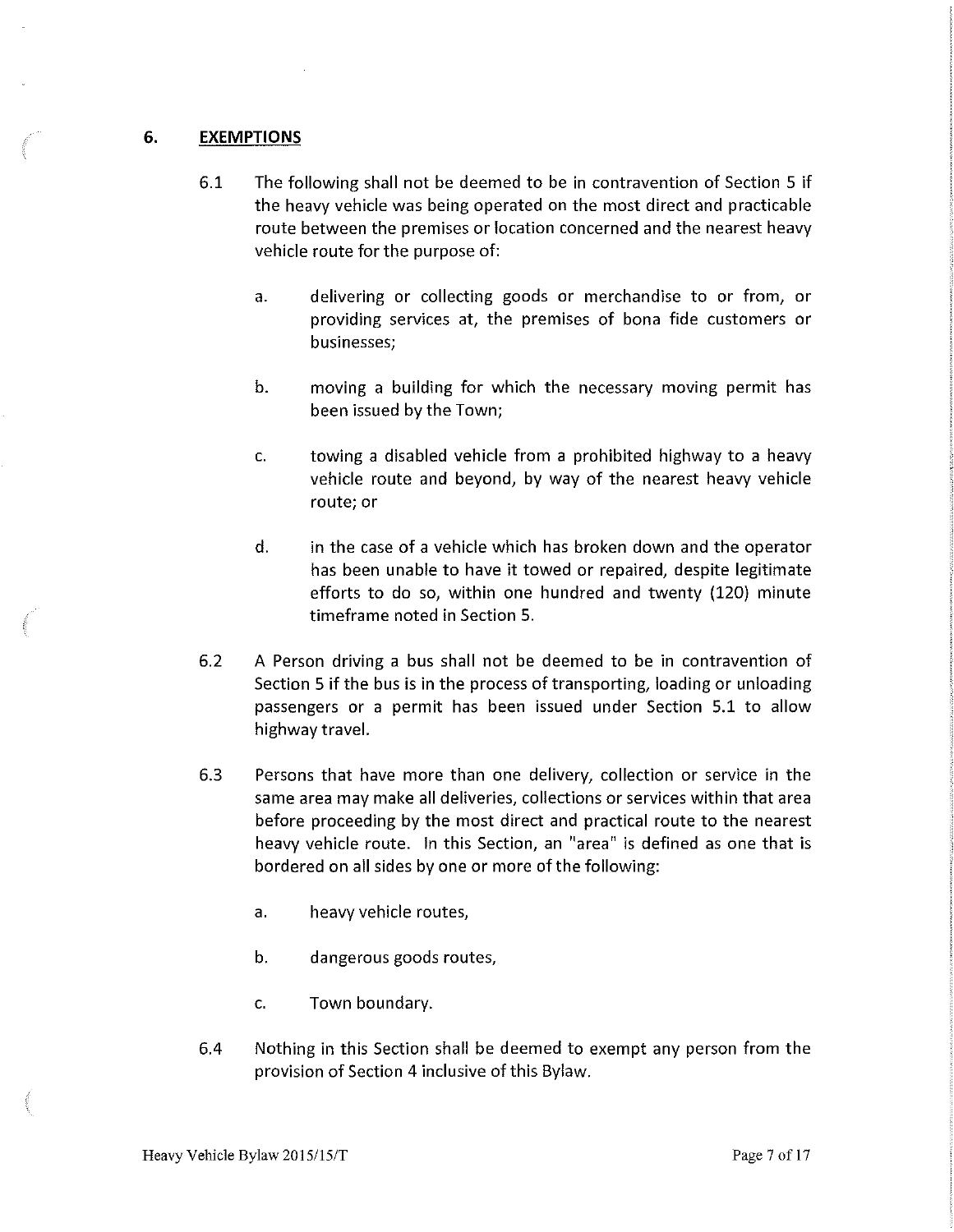### **6. EXEMPTIONS**

- 6.1 The following shall not be deemed to be in contravention of Section 5 if the heavy vehicle was being operated on the most direct and practicable route between the premises or location concerned and the nearest heavy vehicle route for the purpose of:
	- a. delivering or collecting goods or merchandise to or from, or providing services at, the premises of bona fide customers or businesses;
	- b. moving a building for which the necessary moving permit has been issued by the Town;
	- c. towing a disabled vehicle from a prohibited highway to a heavy vehicle route and beyond, by way of the nearest heavy vehicle route; or
	- d. in the case of a vehicle which has broken down and the operator has been unable to have it towed or repaired, despite legitimate efforts to do so, within one hundred and twenty (120) minute timeframe noted in Section 5.
- 6.2 A Person driving a bus shall not be deemed to be in contravention of Section 5 if the bus is in the process of transporting, loading or unloading passengers or a permit has been issued under Section 5.1 to allow highway travel.
- 6.3 Persons that have more than one delivery, collection or service in the same area may make all deliveries, collections or services within that area before proceeding by the most direct and practical route to the nearest heavy vehicle route. In this Section, an "area" is defined as one that is bordered on all sides by one or more of the following:
	- a. heavy vehicle routes,
	- b. dangerous goods routes,
	- c. Town boundary.
- 6.4 Nothing in this Section shall be deemed to exempt any person from the provision of Section 4 inclusive of this Bylaw.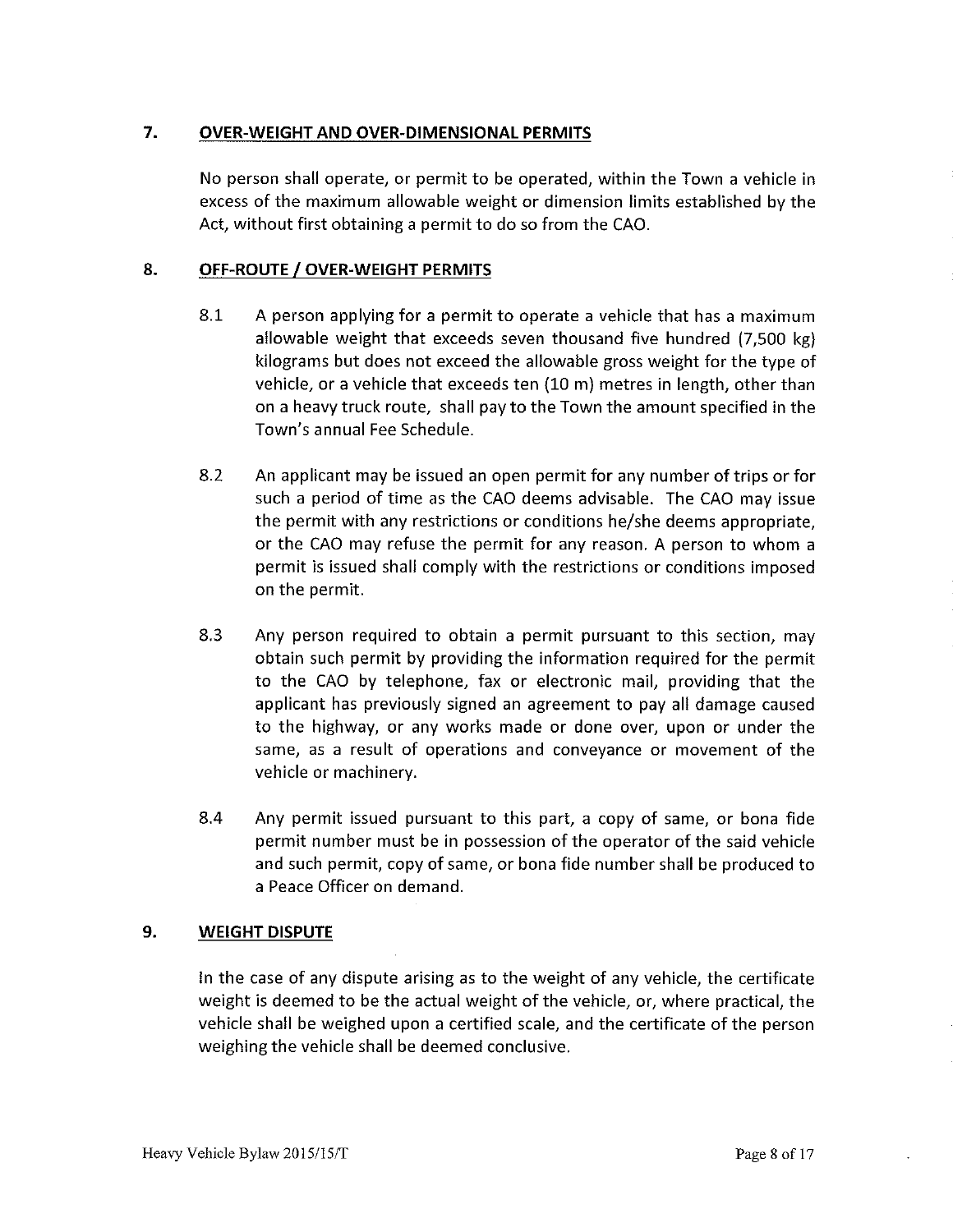## **7. OVER-WEIGHT AND OVER-DIMENSIONAL PERMITS**

No person shall operate, or permit to be operated, within the Town a vehicle in excess of the maximum allowable weight or dimension limits established by the Act, without first obtaining a permit to do so from the CAO.

## 8. **OFF-ROUTE /OVER-WEIGHT PERMITS**

- 8.1 A person applying for a permit to operate a vehicle that has a maximum allowable weight that exceeds seven thousand five hundred (7,500 kg) kilograms but does not exceed the allowable gross weight for the type of vehicle, or a vehicle that exceeds ten (10 m) metres in length, other than on a heavy truck route, shall pay to the Town the amount specified in the Town's annual Fee Schedule.
- 8.2 An applicant may be issued an open permit for any number of trips or for such a period of time as the CAO deems advisable. The CAO may issue the permit with any restrictions or conditions he/she deems appropriate, or the CAO may refuse the permit for any reason. A person to whom a permit is issued shall comply with the restrictions or conditions imposed on the permit.
- 8.3 Any person required to obtain a permit pursuant to this section, may obtain such permit by providing the information required for the permit to the CAO by telephone, fax or electronic mail, providing that the applicant has previously signed an agreement to pay all damage caused to the highway, or any works made or done over, upon or under the same, as a result of operations and conveyance or movement of the vehicle or machinery.
- 8.4 Any permit issued pursuant to this part, a copy of same, or bona fide permit number must be in possession of the operator of the said vehicle and such permit, copy of same, or bona fide number shall be produced to a Peace Officer on demand.

## **9. WEIGHT DISPUTE**

In the case of any dispute arising as to the weight of any vehicle, the certificate weight is deemed to be the actual weight of the vehicle, or, where practical, the vehicle shall be weighed upon a certified scale, and the certificate of the person weighing the vehicle shall be deemed conclusive.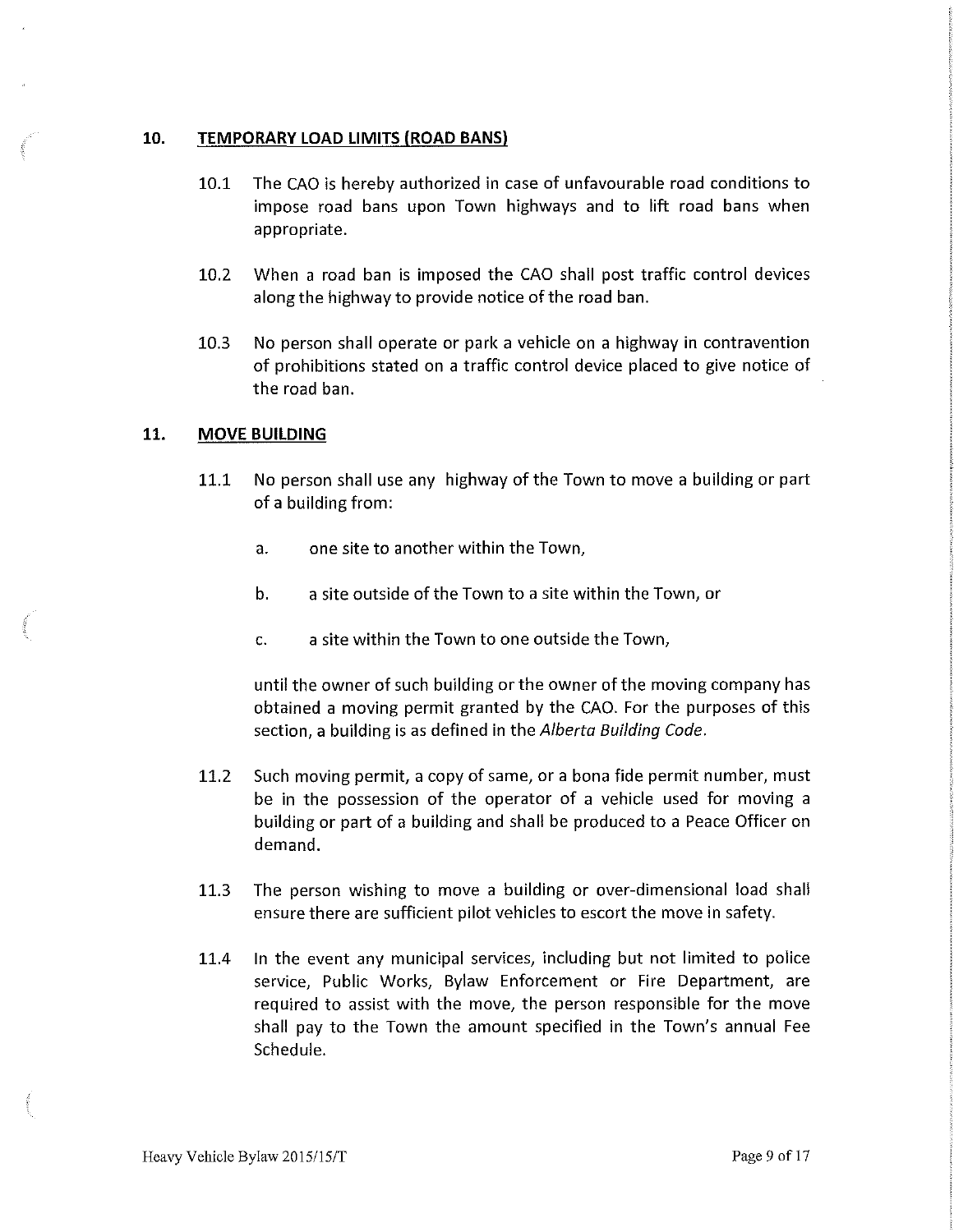#### **10. TEMPORARY LOAD LIMITS (ROAD BANS)**

- 10.1 The CAO is hereby authorized in case of unfavourable road conditions to impose road bans upon Town highways and to lift road bans when appropriate.
- 10.2 When a road ban is imposed the CAO shall post traffic control devices along the highway to provide notice of the road ban.
- 10.3 No person shall operate or park a vehicle on a highway in contravention of prohibitions stated on a traffic control device placed to give notice of the road ban.

#### **11. MOVE BUILDING**

- 11.1 No person shall use any highway of the Town to move a building or part of a building from:
	- a. one site to another within the Town,
	- b. a site outside of the Town to a site within the Town, or
	- c. a site within the Town to one outside the Town,

until the owner of such building or the owner of the moving company has obtained a moving permit granted by the CAO. For the purposes of this section, a building is as defined in the *Alberta Building Code.* 

- 11.2 Such moving permit, a copy of same, or a bona fide permit number, must be in the possession of the operator of a vehicle used for moving a building or part of a building and shall be produced to a Peace Officer on demand.
- 11.3 The person wishing to move a building or over-dimensional load shall ensure there are sufficient pilot vehicles to escort the move in safety.
- 11.4 In the event any municipal services, including but not limited to police service, Public Works, Bylaw Enforcement or Fire Department, are required to assist with the move, the person responsible for the move shall pay to the Town the amount specified in the Town's annual Fee Schedule.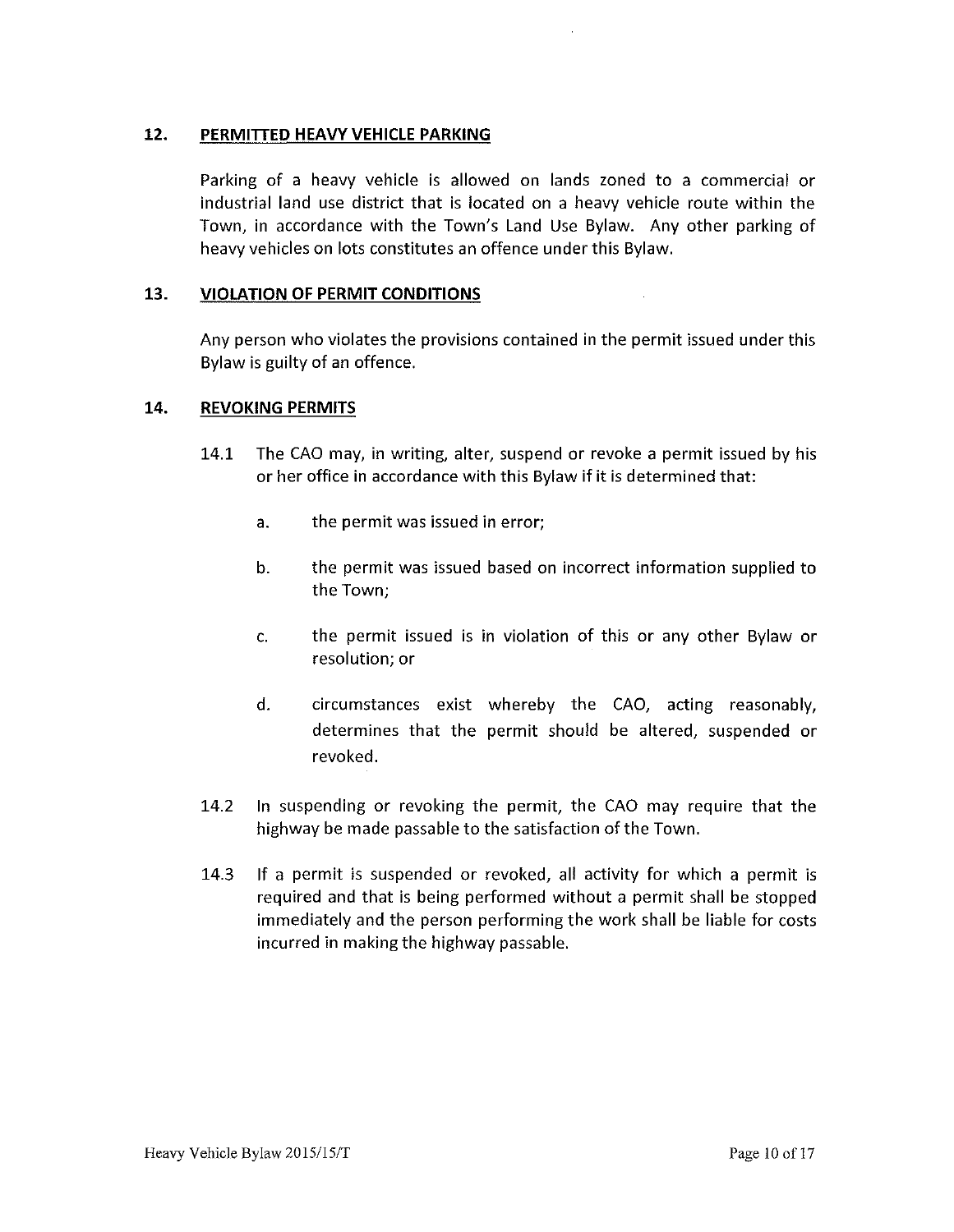## **12. PERMITTED HEAVY VEHICLE PARKING**

Parking of a heavy vehicle is allowed on lands zoned to a commercial or industrial land use district that is located on a heavy vehicle route within the Town, in accordance with the Town's Land Use Bylaw. Any other parking of heavy vehicles on lots constitutes an offence under this Bylaw.

## **13. VIOLATION OF PERMIT CONDITIONS**

Any person who violates the provisions contained in the permit issued under this Bylaw is guilty of an offence.

## 14. **REVOKING PERMITS**

- 14.1 The CAO may, in writing, alter, suspend or revoke a permit issued by his or her office in accordance with this Bylaw if it is determined that:
	- a. the permit was issued in error;
	- b. the permit was issued based on incorrect information supplied to the Town;
	- c. the permit issued is in violation of this or any other Bylaw or resolution; or
	- d. circumstances exist whereby the CAO, acting reasonably, determines that the permit should be altered, suspended or revoked.
- 14.2 In suspending or revoking the permit, the CAO may require that the highway be made passable to the satisfaction of the Town.
- 14.3 If a permit is suspended or revoked, all activity for which a permit is required and that is being performed without a permit shall be stopped immediately and the person performing the work shall be liable for costs incurred in making the highway passable.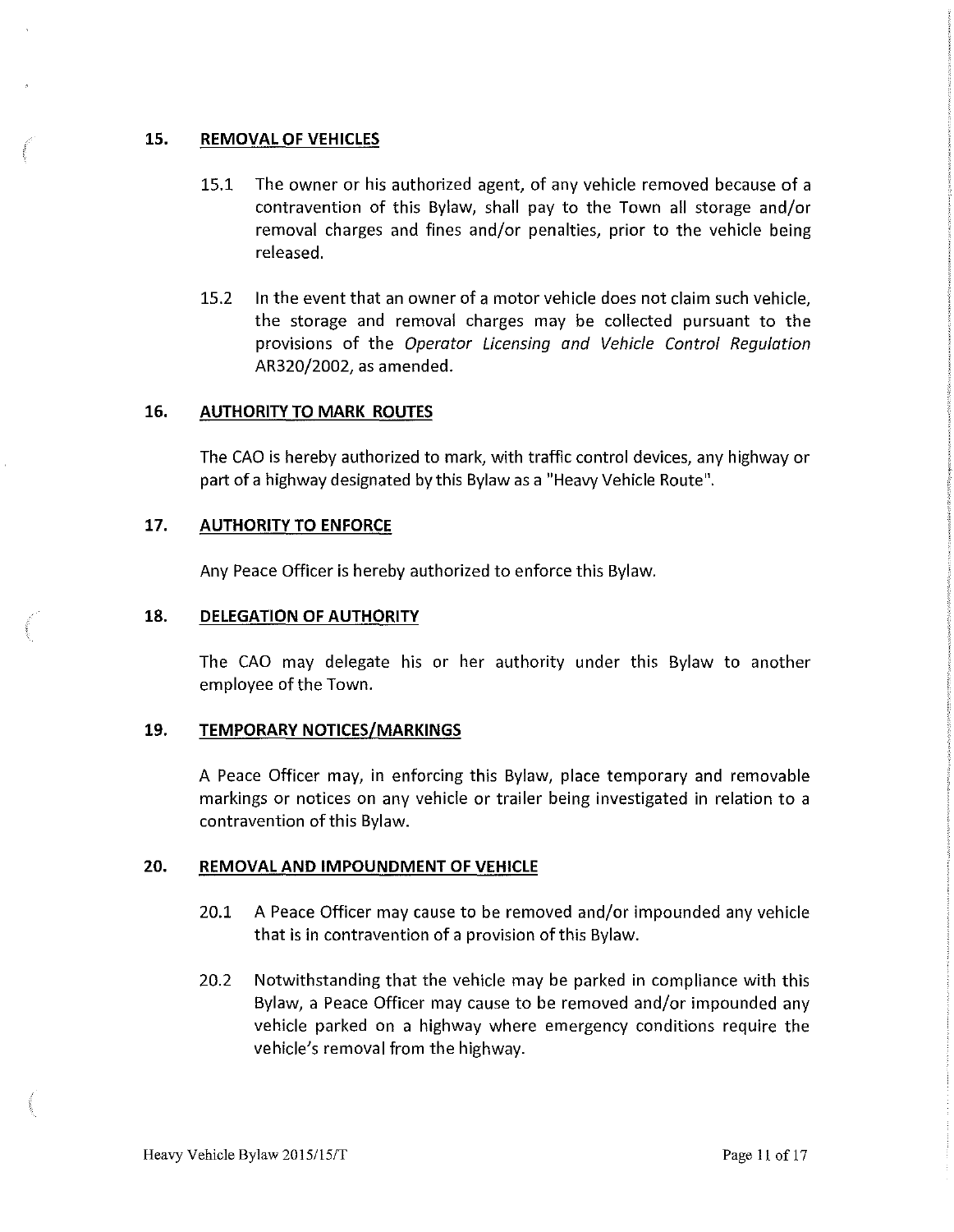### **15. REMOVAL OF VEHICLES**

- 15.1 The owner or his authorized agent, of any vehicle removed because of a contravention of this Bylaw, shall pay to the Town all storage and/or removal charges and fines and/or penalties, prior to the vehicle being released.
- 15.2 In the event that an owner of a motor vehicle does not claim such vehicle, the storage and removal charges may be collected pursuant to the provisions of the *Operator Licensing and Vehicle Control Regulation*  AR320/2002, as amended.

#### **16. AUTHORITY TO MARK ROUTES**

The CAO is hereby authorized to mark, with traffic control devices, any highway or part of a highway designated by this Bylaw as a "Heavy Vehicle Route".

### **17. AUTHORITY TO ENFORCE**

Any Peace Officer is hereby authorized to enforce this Bylaw.

#### 18. **DELEGATION OF AUTHORITY**

The CAO may delegate his or her authority under this Bylaw to another employee of the Town.

#### **19. TEMPORARY NOTICES/MARKINGS**

A Peace Officer may, in enforcing this Bylaw, place temporary and removable markings or notices on any vehicle or trailer being investigated in relation to a contravention of this Bylaw.

#### **ZO. REMOVAL AND IMPOUNDMENT OF VEHICLE**

- 20.1 A Peace Officer may cause to be removed and/or impounded any vehicle that is in contravention of a provision of this Bylaw.
- 20.2 Notwithstanding that the vehicle may be parked in compliance with this Bylaw, a Peace Officer may cause to be removed and/or impounded any vehicle parked on a highway where emergency conditions require the vehicle's removal from the highway.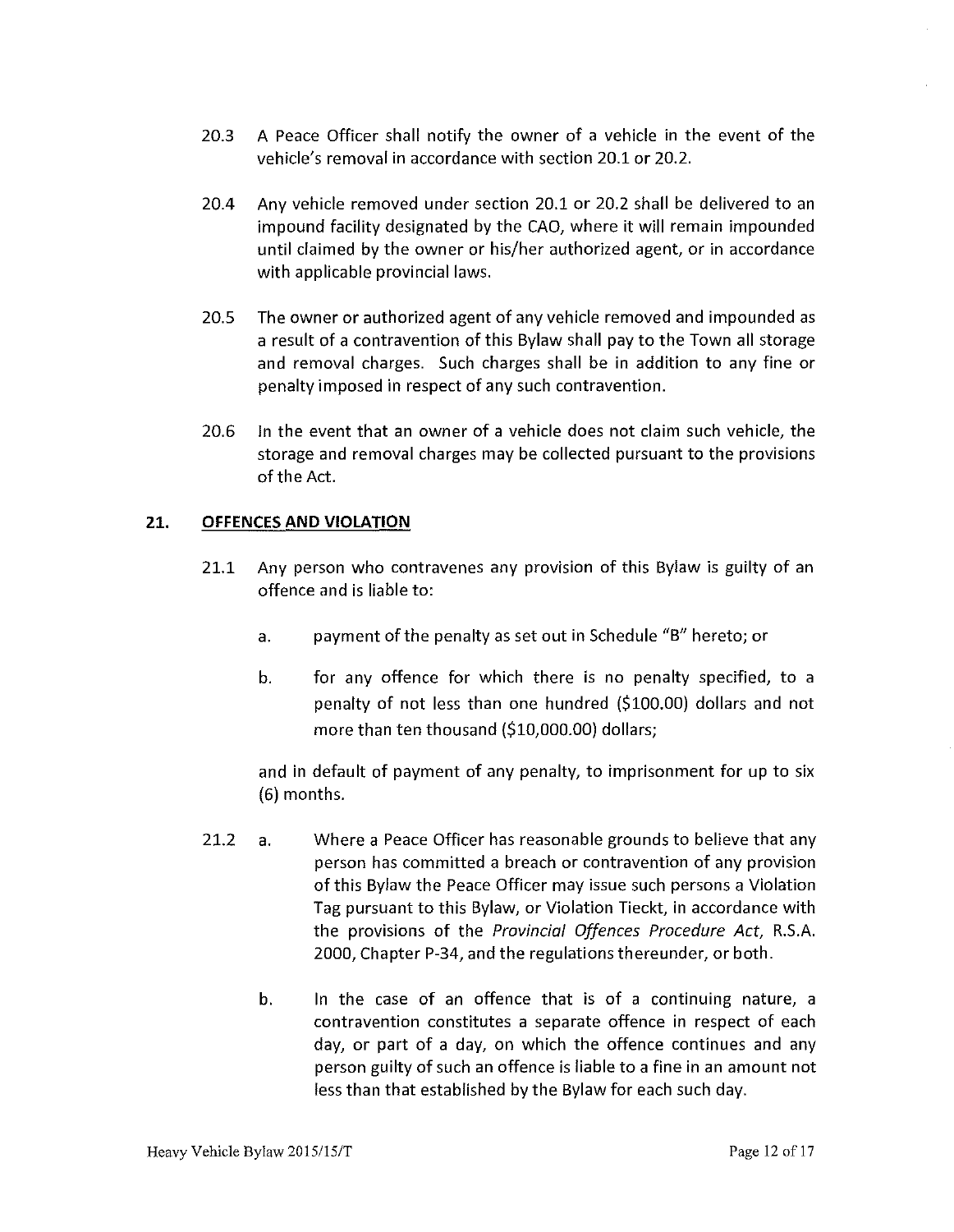- 20.3 A Peace Officer shall notify the owner of a vehicle in the event of the vehicle's removal in accordance with section 20.1 or 20.2.
- 20.4 Any vehicle removed under section 20.1 or 20.2 shall be delivered to an impound facility designated by the CAO, where it will remain impounded until claimed by the owner or his/her authorized agent, or in accordance with applicable provincial laws.
- 20.5 The owner or authorized agent of any vehicle removed and impounded as a result of a contravention of this Bylaw shall pay to the Town all storage and removal charges. Such charges shall be in addition to any fine or penalty imposed in respect of any such contravention.
- 20.6 In the event that an owner of a vehicle does not claim such vehicle, the storage and removal charges may be collected pursuant to the provisions of the Act.

## 21. **OFFENCES AND VIOLATION**

- 21.1 Any person who contravenes any provision of this Bylaw is guilty of an offence and is liable to:
	- a. payment of the penalty as set out in Schedule "B" hereto; or
	- b. for any offence for which there is no penalty specified, to a penalty of not less than one hundred (\$100.00) dollars and not more than ten thousand (\$10,000.00) dollars;

and in default of payment of any penalty, to imprisonment for up to six (6) months.

- 21.2 a. Where a Peace Officer has reasonable grounds to believe that any person has committed a breach or contravention of any provision of this Bylaw the Peace Officer may issue such persons a Violation Tag pursuant to this Bylaw, or Violation Tieckt, in accordance with the provisions of the *Provincial Offences Procedure Act,* R.S.A. 2000, Chapter P-34, and the regulations thereunder, or both.
	- b. In the case of an offence that is of a continuing nature, a contravention constitutes a separate offence in respect of each day, or part of a day, on which the offence continues and any person guilty of such an offence is liable to a fine in an amount not less than that established by the Bylaw for each such day.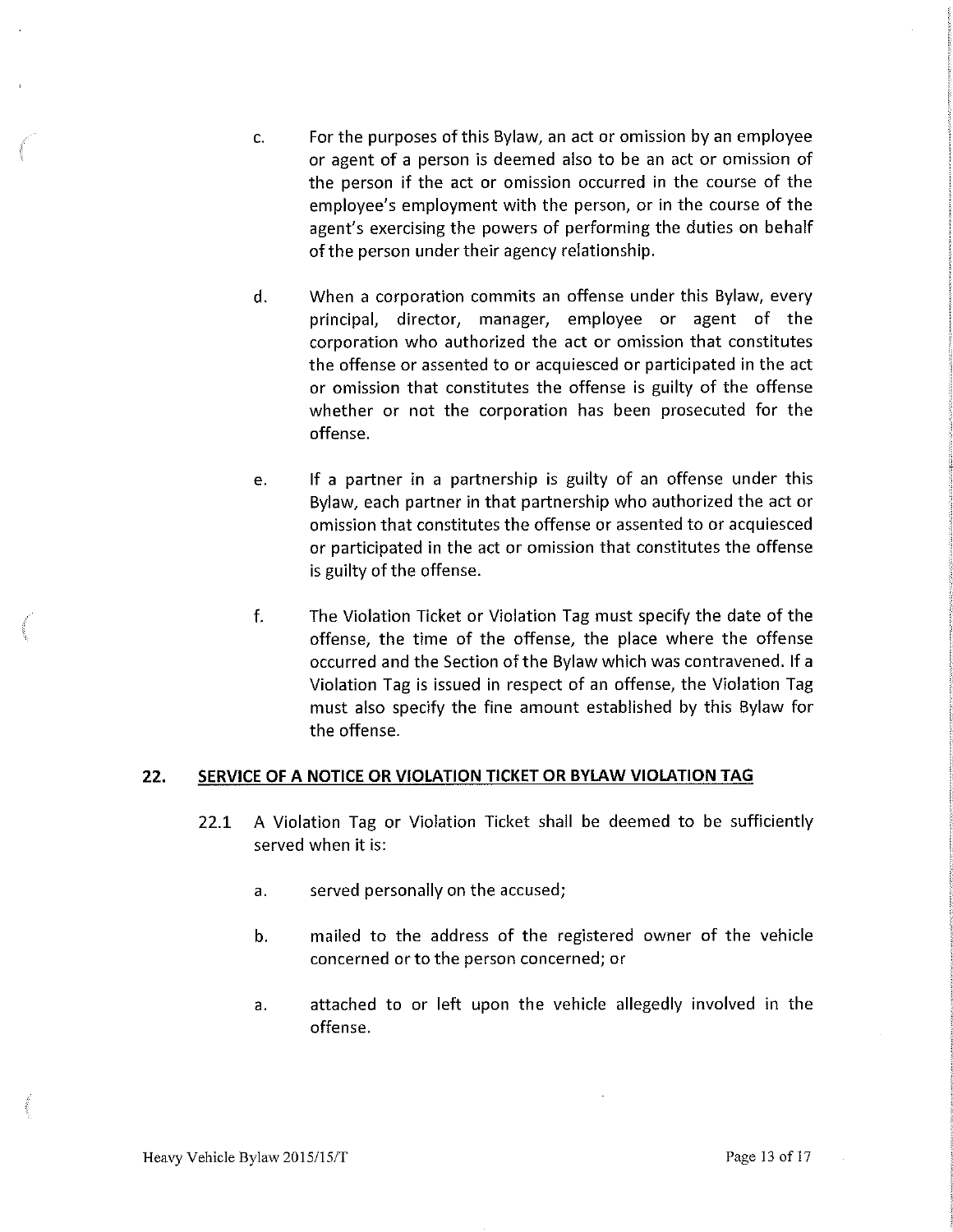- c. For the purposes of this Bylaw, an act or omission by an employee or agent of a person is deemed also to be an act or omission of the person if the act or omission occurred in the course of the employee's employment with the person, or in the course of the agent's exercising the powers of performing the duties on behalf of the person under their agency relationship.
- d. When a corporation commits an offense under this Bylaw, every principal, director, manager, employee or agent of the corporation who authorized the act or omission that constitutes the offense or assented to or acquiesced or participated in the act or omission that constitutes the offense is guilty of the offense whether or not the corporation has been prosecuted for the offense.
- e. If a partner in a partnership is guilty of an offense under this Bylaw, each partner in that partnership who authorized the act or omission that constitutes the offense or assented to or acquiesced or participated in the act or omission that constitutes the offense is guilty of the offense.
- f. The Violation Ticket or Violation Tag must specify the date of the offense, the time of the offense, the place where the offense occurred and the Section of the Bylaw which was contravened. If a Violation Tag is issued in respect of an offense, the Violation Tag must also specify the fine amount established by this Bylaw for the offense.

#### 22. **SERVICE OF A NOTICE OR VIOLATION TICKET OR BYLAW VIOLATION TAG**

- 22.1 A Violation Tag or Violation Ticket shall be deemed to be sufficiently served when it is:
	- a. served personally on the accused;
	- b. mailed to the address of the registered owner of the vehicle concerned or to the person concerned; or
	- a. attached to or left upon the vehicle allegedly involved in the offense.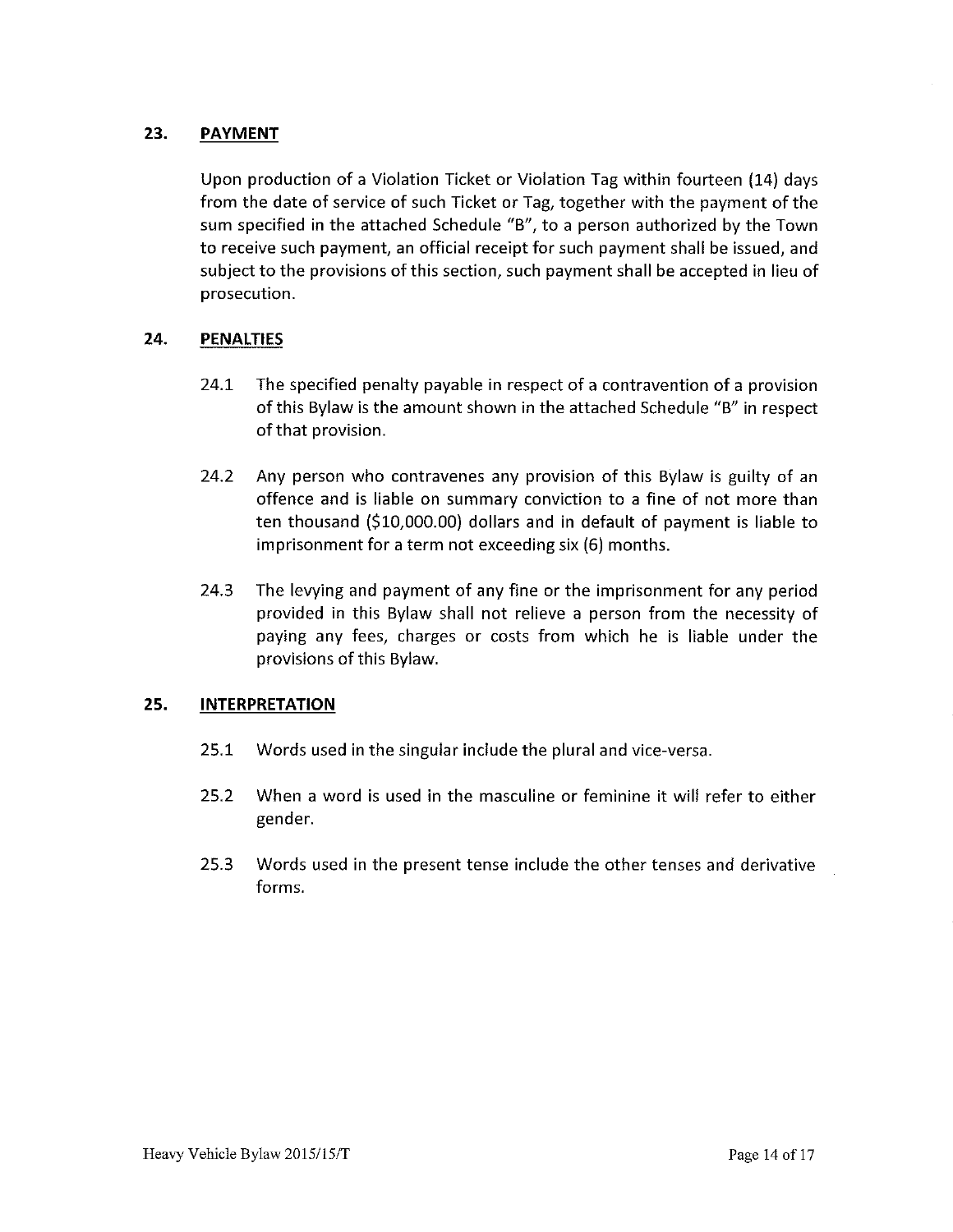## 23. **PAYMENT**

Upon production of a Violation Ticket or Violation Tag within fourteen (14) days from the date of service of such Ticket or Tag, together with the payment of the sum specified in the attached Schedule "B", to a person authorized by the Town to receive such payment, an official receipt for such payment shall be issued, and subject to the provisions of this section, such payment shall be accepted in lieu of prosecution.

## 24. **PENALTIES**

- 24.1 The specified penalty payable in respect of a contravention of a provision of this Bylaw is the amount shown in the attached Schedule "B" in respect of that provision.
- 24.2 Any person who contravenes any provision of this Bylaw is guilty of an offence and is liable on summary conviction to a fine of not more than ten thousand (\$10,000.00) dollars and in default of payment is liable to imprisonment for a term not exceeding six (6) months.
- 24.3 The levying and payment of any fine or the imprisonment for any period provided in this Bylaw shall not relieve a person from the necessity of paying any fees, charges or costs from which he is liable under the provisions of this Bylaw.

## **25. INTERPRETATION**

- 25.1 Words used in the singular include the plural and vice-versa.
- 25.2 When a word is used in the masculine or feminine it will refer to either gender.
- 25.3 Words used in the present tense include the other tenses and derivative forms.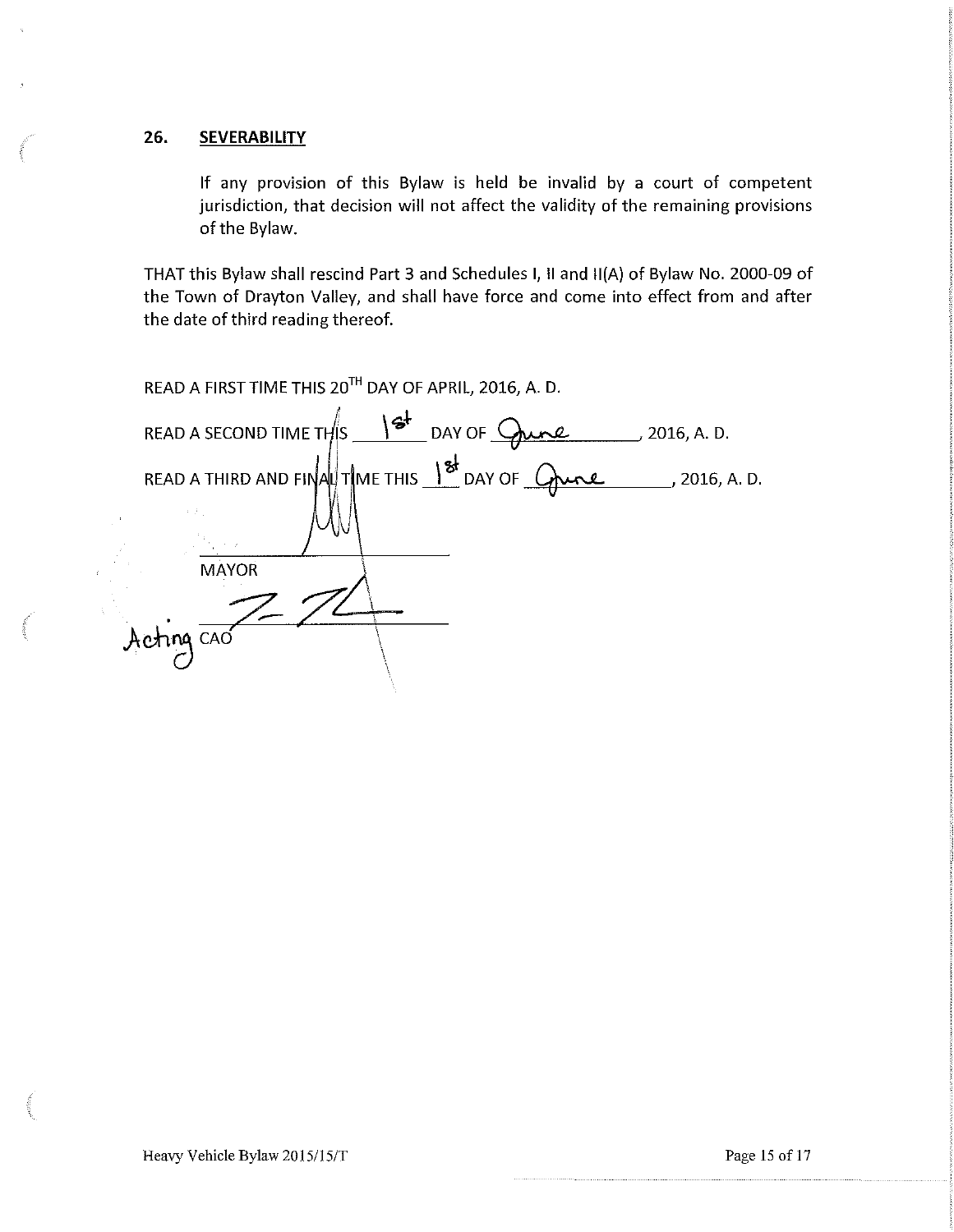#### 26. **SEVERABILITY**

If any provision of this Bylaw is held be invalid by a court of competent jurisdiction, that decision will not affect the validity of the remaining provisions of the Bylaw.

THAT this Bylaw shall rescind Part 3 and Schedules I, II and II(A) of Bylaw No. 2000-09 of the Town of Drayton Valley, and shall have force and come into effect from and after the date of third reading thereof.

READ A FIRST TIME THIS 20TH DAY OF APRIL, 2016, A. D.

READ A FIRST TIME THIS 20"" DAY OF APRIL, 2016, A. D.<br>READ A SECOND TIME THIS  $\cdot$ 1<sup>8</sup> DAY OF <u>Qune</u> , 2016, A. D.  $READ A$  THIRD AND FINAL TIME THIS  $\frac{18t}{2}$  DAY OF  $Q$  and  $Q$   $\ldots$ , 2016, A. D. **MAYOR** Acting CAO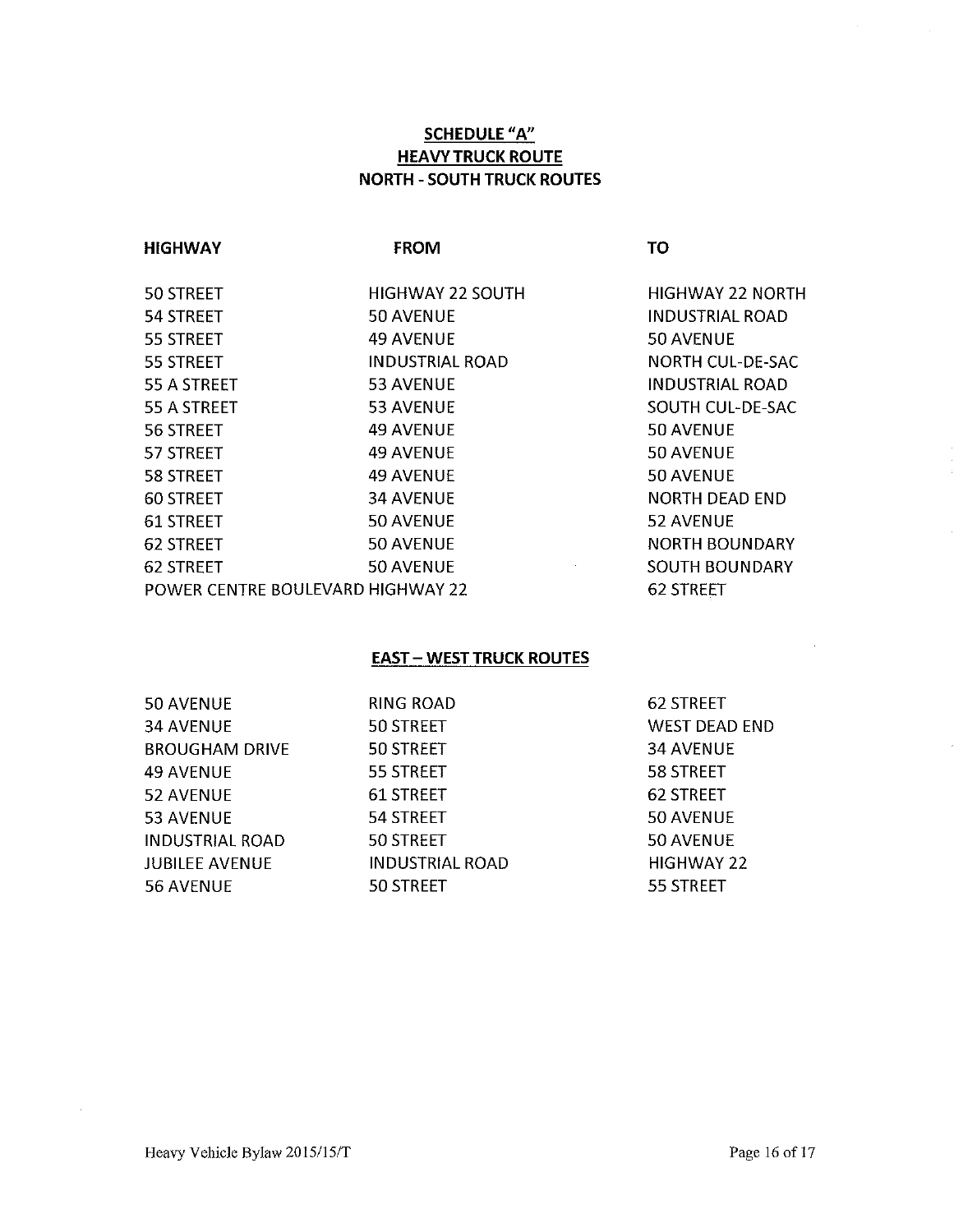## **SCHEDULE "A" HEAVY TRUCK ROUTE NORTH - SOUTH TRUCK ROUTES**

**FROM** 

**TO** 

| 50 STREET                         | HIGHWAY 22 SOUTH                      | HIGHWAY 22 NORTH       |
|-----------------------------------|---------------------------------------|------------------------|
| 54 STREET                         | 50 AVENUE                             | INDUSTRIAL ROAD        |
| 55 STREET                         | <b>49 AVENUE</b>                      | 50 AVENUE              |
| 55 STRFFT                         | INDUSTRIAL ROAD                       | NORTH CUL-DE-SAC       |
| 55 A STREET                       | 53 AVENUE                             | <b>INDUSTRIAL ROAD</b> |
| 55 A STREET                       | <b>53 AVENUE</b>                      | SOUTH CUL-DE-SAC       |
| 56 STREET                         | <b>49 AVENUE</b>                      | 50 AVENUE              |
| 57 STREET                         | <b>49 AVENUE</b>                      | 50 AVENUE              |
| 58 STREET                         | 49 AVENUE                             | 50 AVENUE              |
| 60 STREET                         | <b>34 AVENUE</b>                      | <b>NORTH DEAD END</b>  |
| 61 STREET                         | 50 AVENUE                             | 52 AVENUE              |
| 62 STREET                         | 50 AVENUE                             | <b>NORTH BOUNDARY</b>  |
| 62 STREET                         | 50 AVENUE<br><b>Contract Contract</b> | <b>SOUTH BOUNDARY</b>  |
| POWER CENTRE BOULEVARD HIGHWAY 22 | 62 STREET                             |                        |

## **EAST- WEST TRUCK ROUTES**

50 AVENUE RING ROAD 34AVENUE 50 STREET BROUGHAM DRIVE 50 STREET 49 AVENUE 55 STREET 52 AVENUE 61 STREET 53 AVENUE 54 STREET INDUSTRIAL ROAD 50 STREET JUBILEE AVENUE INDUSTRIAL ROAD 56 AVENUE 50 STREET

62 STREET WEST DEAD END 34AVENUE 58 STREET 62 STREET SO AVENUE 50 AVENUE HIGHWAY 22 55 STREET